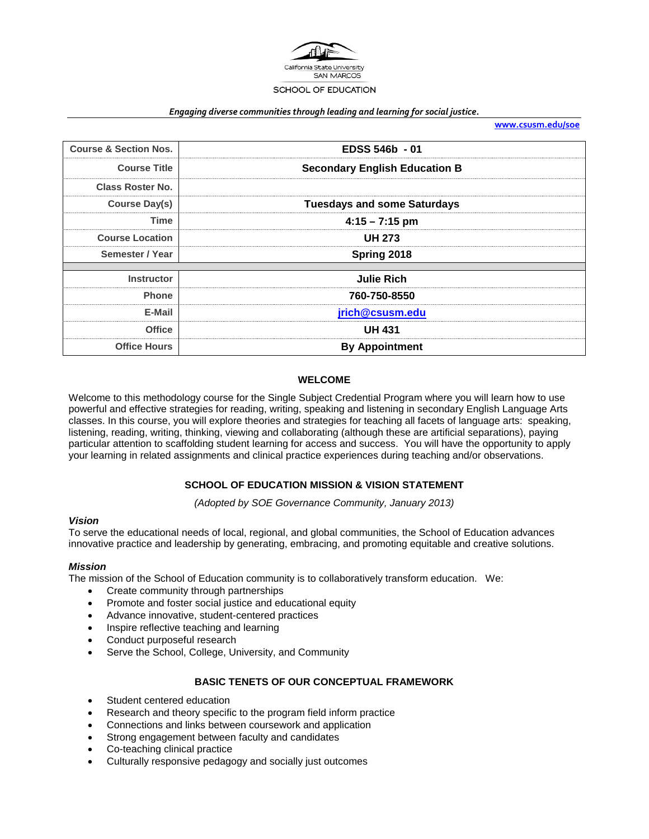

#### *Engaging diverse communities through leading and learning for social justice.*

**[www.csusm.edu/soe](http://www.csusm.edu/soe)**

| <b>Course &amp; Section Nos.</b> | EDSS 546b - 01                       |  |  |
|----------------------------------|--------------------------------------|--|--|
| <b>Course Title</b>              | <b>Secondary English Education B</b> |  |  |
| <b>Class Roster No.</b>          |                                      |  |  |
| Course Day(s)                    | <b>Tuesdays and some Saturdays</b>   |  |  |
| Time                             | $4:15 - 7:15$ pm                     |  |  |
| <b>Course Location</b>           | <b>UH 273</b>                        |  |  |
| Semester / Year                  | Spring 2018                          |  |  |
| <b>Instructor</b>                | <b>Julie Rich</b>                    |  |  |
|                                  |                                      |  |  |
| <b>Phone</b>                     | 760-750-8550                         |  |  |
| E-Mail                           | jrich@csusm.edu                      |  |  |
| <b>Office</b>                    | <b>UH 431</b>                        |  |  |
| <b>Office Hours</b>              | <b>By Appointment</b>                |  |  |

### **WELCOME**

Welcome to this methodology course for the Single Subject Credential Program where you will learn how to use powerful and effective strategies for reading, writing, speaking and listening in secondary English Language Arts classes. In this course, you will explore theories and strategies for teaching all facets of language arts: speaking, listening, reading, writing, thinking, viewing and collaborating (although these are artificial separations), paying particular attention to scaffolding student learning for access and success. You will have the opportunity to apply your learning in related assignments and clinical practice experiences during teaching and/or observations.

### **SCHOOL OF EDUCATION MISSION & VISION STATEMENT**

*(Adopted by SOE Governance Community, January 2013)*

### *Vision*

To serve the educational needs of local, regional, and global communities, the School of Education advances innovative practice and leadership by generating, embracing, and promoting equitable and creative solutions.

### *Mission*

The mission of the School of Education community is to collaboratively transform education. We:

- Create community through partnerships
- Promote and foster social justice and educational equity
- Advance innovative, student-centered practices
- Inspire reflective teaching and learning
- Conduct purposeful research
- Serve the School, College, University, and Community

### **BASIC TENETS OF OUR CONCEPTUAL FRAMEWORK**

- Student centered education
- Research and theory specific to the program field inform practice
- Connections and links between coursework and application
- Strong engagement between faculty and candidates
- Co-teaching clinical practice
- Culturally responsive pedagogy and socially just outcomes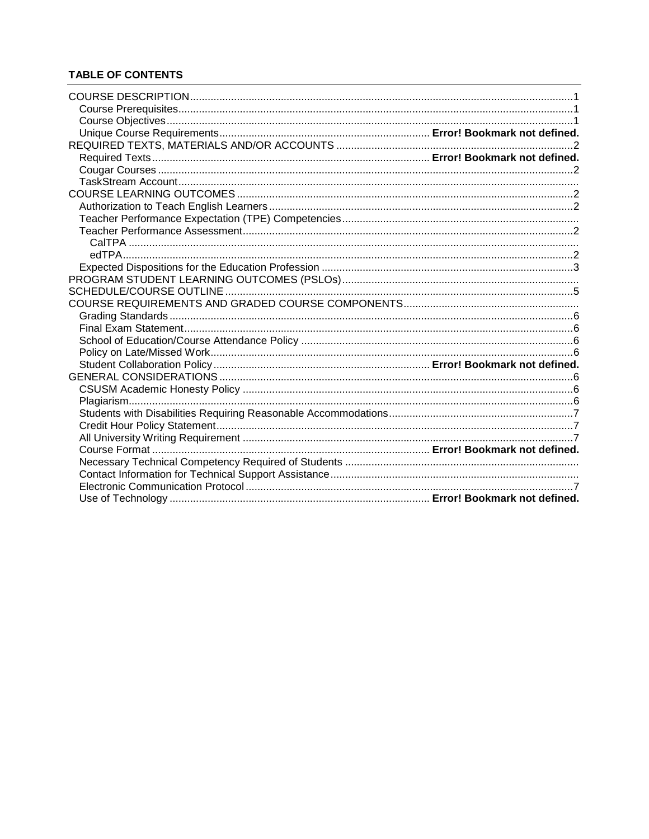# **TABLE OF CONTENTS**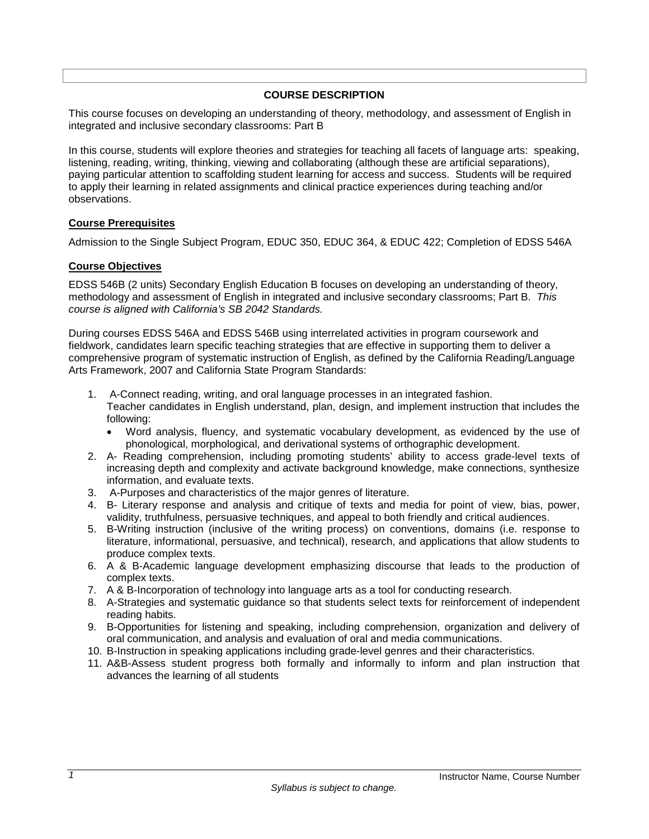### **COURSE DESCRIPTION**

<span id="page-2-0"></span>This course focuses on developing an understanding of theory, methodology, and assessment of English in integrated and inclusive secondary classrooms: Part B

In this course, students will explore theories and strategies for teaching all facets of language arts: speaking, listening, reading, writing, thinking, viewing and collaborating (although these are artificial separations), paying particular attention to scaffolding student learning for access and success. Students will be required to apply their learning in related assignments and clinical practice experiences during teaching and/or observations.

### <span id="page-2-1"></span>**Course Prerequisites**

Admission to the Single Subject Program, EDUC 350, EDUC 364, & EDUC 422; Completion of EDSS 546A

### <span id="page-2-2"></span>**Course Objectives**

EDSS 546B (2 units) Secondary English Education B focuses on developing an understanding of theory, methodology and assessment of English in integrated and inclusive secondary classrooms; Part B. *This course is aligned with California's SB 2042 Standards.* 

During courses EDSS 546A and EDSS 546B using interrelated activities in program coursework and fieldwork, candidates learn specific teaching strategies that are effective in supporting them to deliver a comprehensive program of systematic instruction of English, as defined by the California Reading/Language Arts Framework, 2007 and California State Program Standards:

- 1. A-Connect reading, writing, and oral language processes in an integrated fashion. Teacher candidates in English understand, plan, design, and implement instruction that includes the following:
	- Word analysis, fluency, and systematic vocabulary development, as evidenced by the use of phonological, morphological, and derivational systems of orthographic development.
- 2. A- Reading comprehension, including promoting students' ability to access grade-level texts of increasing depth and complexity and activate background knowledge, make connections, synthesize information, and evaluate texts.
- 3. A-Purposes and characteristics of the major genres of literature.
- 4. B- Literary response and analysis and critique of texts and media for point of view, bias, power, validity, truthfulness, persuasive techniques, and appeal to both friendly and critical audiences.
- 5. B-Writing instruction (inclusive of the writing process) on conventions, domains (i.e. response to literature, informational, persuasive, and technical), research, and applications that allow students to produce complex texts.
- 6. A & B-Academic language development emphasizing discourse that leads to the production of complex texts.
- 7. A & B-Incorporation of technology into language arts as a tool for conducting research.
- 8. A-Strategies and systematic guidance so that students select texts for reinforcement of independent reading habits.
- 9. B-Opportunities for listening and speaking, including comprehension, organization and delivery of oral communication, and analysis and evaluation of oral and media communications.
- 10. B-Instruction in speaking applications including grade-level genres and their characteristics.
- <span id="page-2-3"></span>11. A&B-Assess student progress both formally and informally to inform and plan instruction that advances the learning of all students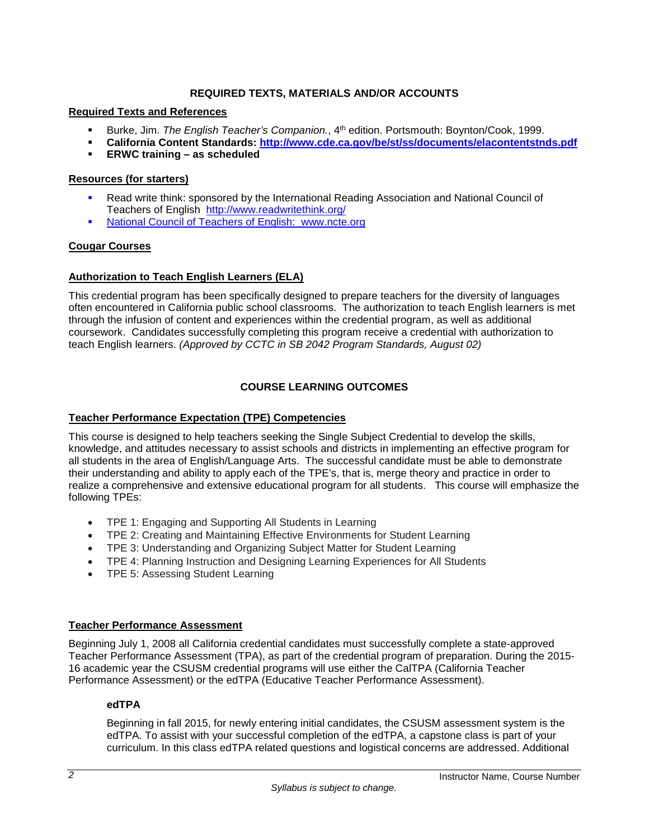## **REQUIRED TEXTS, MATERIALS AND/OR ACCOUNTS**

### **Required Texts and References**

- **Burke, Jim.** *The English Teacher's Companion.*, 4<sup>th</sup> edition. Portsmouth: Boynton/Cook, 1999.
- **California Content Standards:<http://www.cde.ca.gov/be/st/ss/documents/elacontentstnds.pdf>**
- **ERWC training – as scheduled**

## **Resources (for starters)**

- Read write think: sponsored by the International Reading Association and National Council of Teachers of English <http://www.readwritethink.org/>
- National Council of Teachers of English: [www.ncte.org](http://www.ncte.org/)

### <span id="page-3-0"></span>**Cougar Courses**

## <span id="page-3-2"></span>**Authorization to Teach English Learners (ELA)**

This credential program has been specifically designed to prepare teachers for the diversity of languages often encountered in California public school classrooms. The authorization to teach English learners is met through the infusion of content and experiences within the credential program, as well as additional coursework. Candidates successfully completing this program receive a credential with authorization to teach English learners. *(Approved by CCTC in SB 2042 Program Standards, August 02)*

## **COURSE LEARNING OUTCOMES**

## <span id="page-3-1"></span>**Teacher Performance Expectation (TPE) Competencies**

This course is designed to help teachers seeking the Single Subject Credential to develop the skills, knowledge, and attitudes necessary to assist schools and districts in implementing an effective program for all students in the area of English/Language Arts. The successful candidate must be able to demonstrate their understanding and ability to apply each of the TPE's, that is, merge theory and practice in order to realize a comprehensive and extensive educational program for all students. This course will emphasize the following TPEs:

- TPE 1: Engaging and Supporting All Students in Learning
- TPE 2: Creating and Maintaining Effective Environments for Student Learning
- TPE 3: Understanding and Organizing Subject Matter for Student Learning
- TPE 4: Planning Instruction and Designing Learning Experiences for All Students
- TPE 5: Assessing Student Learning

### <span id="page-3-3"></span>**Teacher Performance Assessment**

Beginning July 1, 2008 all California credential candidates must successfully complete a state-approved Teacher Performance Assessment (TPA), as part of the credential program of preparation. During the 2015- 16 academic year the CSUSM credential programs will use either the CalTPA (California Teacher Performance Assessment) or the edTPA (Educative Teacher Performance Assessment).

### <span id="page-3-4"></span>**edTPA**

Beginning in fall 2015, for newly entering initial candidates, the CSUSM assessment system is the edTPA. To assist with your successful completion of the edTPA, a capstone class is part of your curriculum. In this class edTPA related questions and logistical concerns are addressed. Additional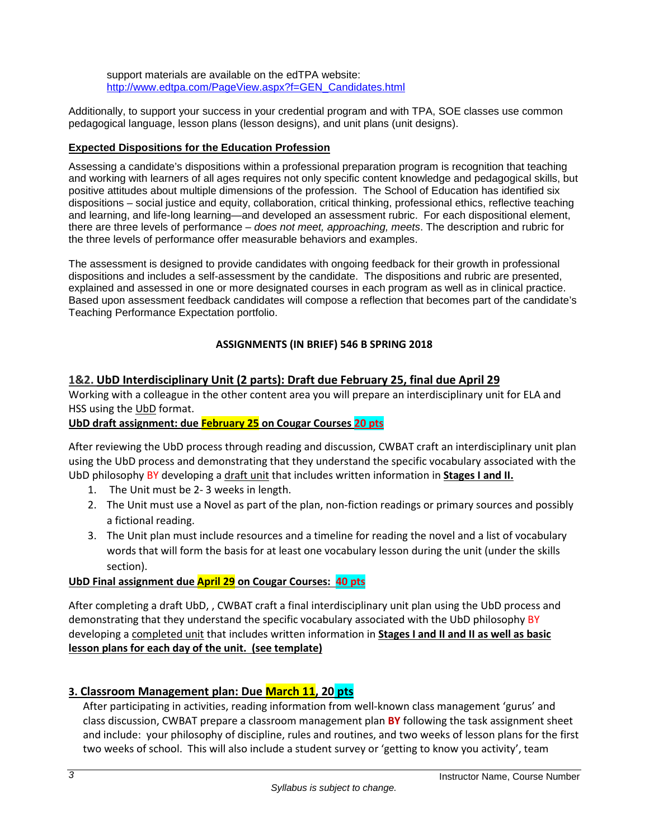support materials are available on the edTPA website: [http://www.edtpa.com/PageView.aspx?f=GEN\\_Candidates.html](http://www.edtpa.com/PageView.aspx?f=GEN_Candidates.html)

Additionally, to support your success in your credential program and with TPA, SOE classes use common pedagogical language, lesson plans (lesson designs), and unit plans (unit designs).

# <span id="page-4-0"></span>**Expected Dispositions for the Education Profession**

Assessing a candidate's dispositions within a professional preparation program is recognition that teaching and working with learners of all ages requires not only specific content knowledge and pedagogical skills, but positive attitudes about multiple dimensions of the profession. The School of Education has identified six dispositions – social justice and equity, collaboration, critical thinking, professional ethics, reflective teaching and learning, and life-long learning—and developed an assessment rubric. For each dispositional element, there are three levels of performance – *does not meet, approaching, meets*. The description and rubric for the three levels of performance offer measurable behaviors and examples.

The assessment is designed to provide candidates with ongoing feedback for their growth in professional dispositions and includes a self-assessment by the candidate. The dispositions and rubric are presented, explained and assessed in one or more designated courses in each program as well as in clinical practice. Based upon assessment feedback candidates will compose a reflection that becomes part of the candidate's Teaching Performance Expectation portfolio.

# **ASSIGNMENTS (IN BRIEF) 546 B SPRING 2018**

# **1&2. UbD Interdisciplinary Unit (2 parts): Draft due February 25, final due April 29**

Working with a colleague in the other content area you will prepare an interdisciplinary unit for ELA and HSS using the UbD format.

# **UbD draft assignment: due February 25 on Cougar Courses 20 pts**

After reviewing the UbD process through reading and discussion, CWBAT craft an interdisciplinary unit plan using the UbD process and demonstrating that they understand the specific vocabulary associated with the UbD philosophy BY developing a draft unit that includes written information in **Stages I and II.**

- 1. The Unit must be 2- 3 weeks in length.
- 2. The Unit must use a Novel as part of the plan, non-fiction readings or primary sources and possibly a fictional reading.
- 3. The Unit plan must include resources and a timeline for reading the novel and a list of vocabulary words that will form the basis for at least one vocabulary lesson during the unit (under the skills section).

# **UbD Final assignment due April 29 on Cougar Courses: 40 pts**

After completing a draft UbD, , CWBAT craft a final interdisciplinary unit plan using the UbD process and demonstrating that they understand the specific vocabulary associated with the UbD philosophy BY developing a completed unit that includes written information in **Stages I and II and II as well as basic lesson plans for each day of the unit. (see template)**

# **3. Classroom Management plan: Due March 11, 20 pts**

After participating in activities, reading information from well-known class management 'gurus' and class discussion, CWBAT prepare a classroom management plan **BY** following the task assignment sheet and include: your philosophy of discipline, rules and routines, and two weeks of lesson plans for the first two weeks of school. This will also include a student survey or 'getting to know you activity', team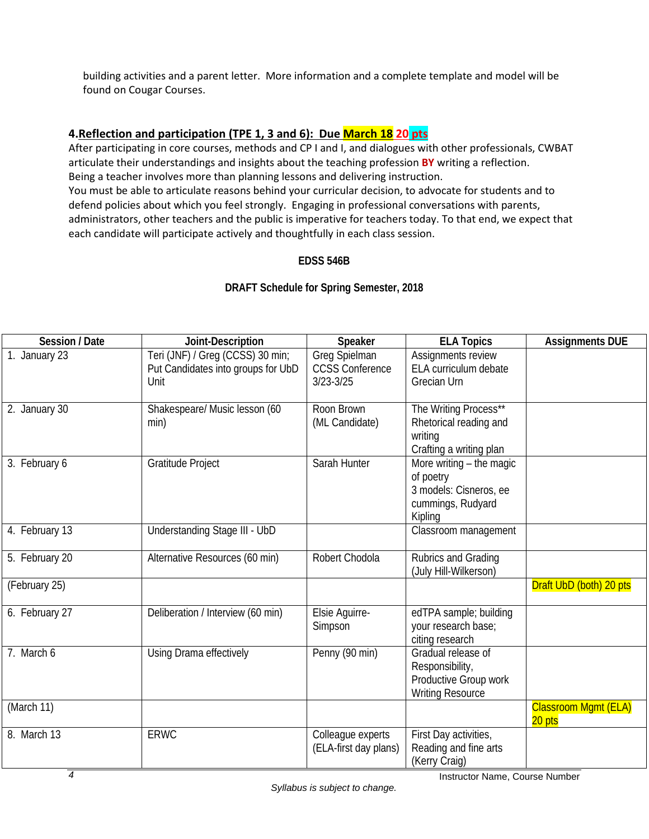building activities and a parent letter. More information and a complete template and model will be found on Cougar Courses.

# **4.Reflection and participation (TPE 1, 3 and 6): Due March 18 20 pts**

After participating in core courses, methods and CP I and I, and dialogues with other professionals, CWBAT articulate their understandings and insights about the teaching profession **BY** writing a reflection. Being a teacher involves more than planning lessons and delivering instruction. You must be able to articulate reasons behind your curricular decision, to advocate for students and to defend policies about which you feel strongly. Engaging in professional conversations with parents, administrators, other teachers and the public is imperative for teachers today. To that end, we expect that each candidate will participate actively and thoughtfully in each class session.

# **EDSS 546B**

# **DRAFT Schedule for Spring Semester, 2018**

| Session / Date | Joint-Description                                                              | Speaker                                                  | <b>ELA Topics</b>                                                                                 | <b>Assignments DUE</b>                |
|----------------|--------------------------------------------------------------------------------|----------------------------------------------------------|---------------------------------------------------------------------------------------------------|---------------------------------------|
| 1. January 23  | Teri (JNF) / Greg (CCSS) 30 min;<br>Put Candidates into groups for UbD<br>Unit | Greg Spielman<br><b>CCSS Conference</b><br>$3/23 - 3/25$ | Assignments review<br>ELA curriculum debate<br>Grecian Urn                                        |                                       |
| 2. January 30  | Shakespeare/ Music lesson (60<br>min)                                          | Roon Brown<br>(ML Candidate)                             | The Writing Process**<br>Rhetorical reading and<br>writing<br>Crafting a writing plan             |                                       |
| 3. February 6  | Gratitude Project                                                              | Sarah Hunter                                             | More writing $-$ the magic<br>of poetry<br>3 models: Cisneros, ee<br>cummings, Rudyard<br>Kipling |                                       |
| 4. February 13 | Understanding Stage III - UbD                                                  |                                                          | Classroom management                                                                              |                                       |
| 5. February 20 | Alternative Resources (60 min)                                                 | Robert Chodola                                           | Rubrics and Grading<br>(July Hill-Wilkerson)                                                      |                                       |
| (February 25)  |                                                                                |                                                          |                                                                                                   | Draft UbD (both) 20 pts               |
| 6. February 27 | Deliberation / Interview (60 min)                                              | Elsie Aguirre-<br>Simpson                                | edTPA sample; building<br>your research base;<br>citing research                                  |                                       |
| 7. March 6     | Using Drama effectively                                                        | Penny (90 min)                                           | Gradual release of<br>Responsibility,<br>Productive Group work<br><b>Writing Resource</b>         |                                       |
| (March 11)     |                                                                                |                                                          |                                                                                                   | <b>Classroom Mgmt (ELA)</b><br>20 pts |
| 8. March 13    | <b>ERWC</b>                                                                    | Colleague experts<br>(ELA-first day plans)               | First Day activities,<br>Reading and fine arts<br>(Kerry Craig)                                   |                                       |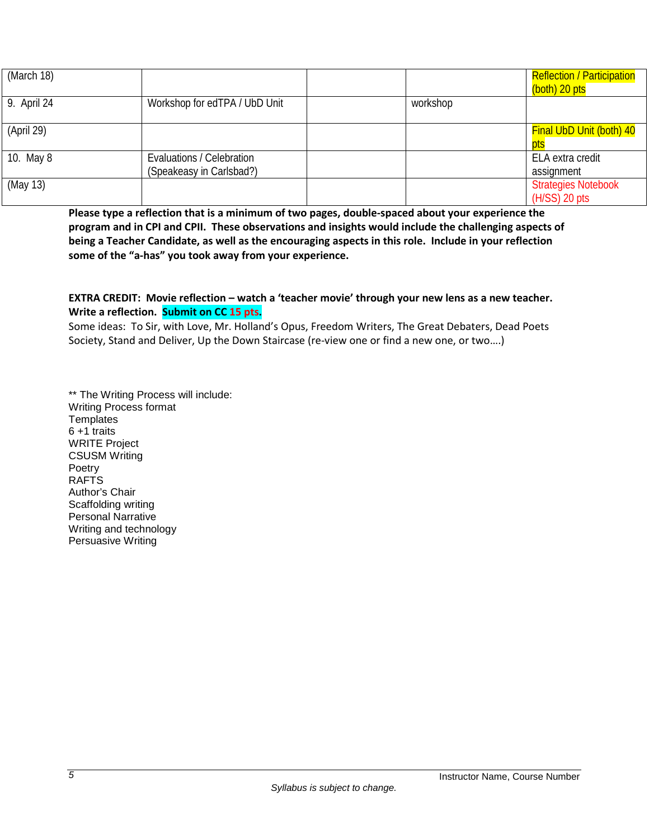| (March 18)  |                                                       |          | <b>Reflection / Participation</b><br>(both) 20 pts |
|-------------|-------------------------------------------------------|----------|----------------------------------------------------|
| 9. April 24 | Workshop for edTPA / UbD Unit                         | workshop |                                                    |
| (April 29)  |                                                       |          | <b>Final UbD Unit (both) 40</b><br>pts             |
| 10. May 8   | Evaluations / Celebration<br>(Speakeasy in Carlsbad?) |          | ELA extra credit<br>assignment                     |
| (May 13)    |                                                       |          | <b>Strategies Notebook</b><br>$(H/SS)$ 20 pts      |

**Please type a reflection that is a minimum of two pages, double-spaced about your experience the program and in CPI and CPII. These observations and insights would include the challenging aspects of being a Teacher Candidate, as well as the encouraging aspects in this role. Include in your reflection some of the "a-has" you took away from your experience.**

## **EXTRA CREDIT: Movie reflection – watch a 'teacher movie' through your new lens as a new teacher. Write a reflection. Submit on CC 15 pts.**

Some ideas: To Sir, with Love, Mr. Holland's Opus, Freedom Writers, The Great Debaters, Dead Poets Society, Stand and Deliver, Up the Down Staircase (re-view one or find a new one, or two….)

<span id="page-6-0"></span>\*\* The Writing Process will include: Writing Process format **Templates** 6 +1 traits WRITE Project CSUSM Writing Poetry RAFTS Author's Chair Scaffolding writing Personal Narrative Writing and technology Persuasive Writing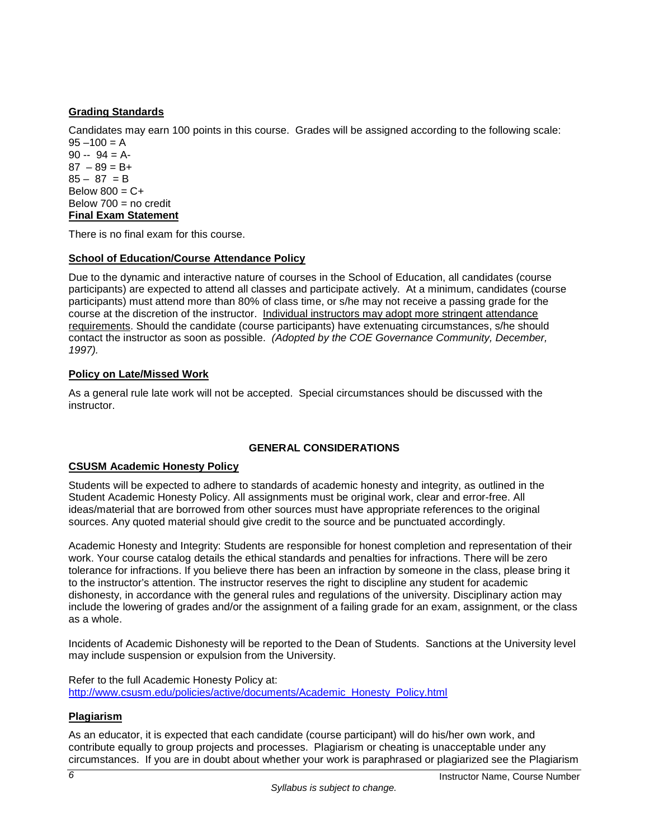# <span id="page-7-0"></span>**Grading Standards**

Candidates may earn 100 points in this course. Grades will be assigned according to the following scale:  $95 - 100 = A$ 

 $90 - 94 = A$  $87 - 89 = B+$  $85 - 87 = B$ Below  $800 = C +$ Below  $700 =$  no credit **Final Exam Statement**

<span id="page-7-1"></span>There is no final exam for this course.

## <span id="page-7-2"></span>**School of Education/Course Attendance Policy**

Due to the dynamic and interactive nature of courses in the School of Education, all candidates (course participants) are expected to attend all classes and participate actively. At a minimum, candidates (course participants) must attend more than 80% of class time, or s/he may not receive a passing grade for the course at the discretion of the instructor. Individual instructors may adopt more stringent attendance requirements. Should the candidate (course participants) have extenuating circumstances, s/he should contact the instructor as soon as possible. *(Adopted by the COE Governance Community, December, 1997).*

# <span id="page-7-3"></span>**Policy on Late/Missed Work**

As a general rule late work will not be accepted. Special circumstances should be discussed with the instructor.

### **GENERAL CONSIDERATIONS**

### <span id="page-7-5"></span><span id="page-7-4"></span>**CSUSM Academic Honesty Policy**

Students will be expected to adhere to standards of academic honesty and integrity, as outlined in the Student Academic Honesty Policy. All assignments must be original work, clear and error-free. All ideas/material that are borrowed from other sources must have appropriate references to the original sources. Any quoted material should give credit to the source and be punctuated accordingly.

Academic Honesty and Integrity: Students are responsible for honest completion and representation of their work. Your course catalog details the ethical standards and penalties for infractions. There will be zero tolerance for infractions. If you believe there has been an infraction by someone in the class, please bring it to the instructor's attention. The instructor reserves the right to discipline any student for academic dishonesty, in accordance with the general rules and regulations of the university. Disciplinary action may include the lowering of grades and/or the assignment of a failing grade for an exam, assignment, or the class as a whole.

Incidents of Academic Dishonesty will be reported to the Dean of Students. Sanctions at the University level may include suspension or expulsion from the University.

Refer to the full Academic Honesty Policy at: [http://www.csusm.edu/policies/active/documents/Academic\\_Honesty\\_Policy.html](http://www.csusm.edu/policies/active/documents/Academic_Honesty_Policy.html)

# <span id="page-7-6"></span>**Plagiarism**

As an educator, it is expected that each candidate (course participant) will do his/her own work, and contribute equally to group projects and processes. Plagiarism or cheating is unacceptable under any circumstances. If you are in doubt about whether your work is paraphrased or plagiarized see the Plagiarism